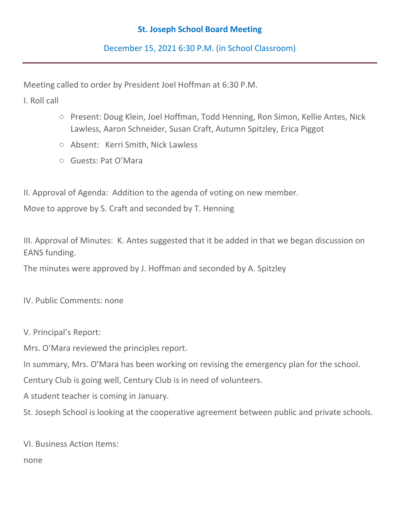## **St. Joseph School Board Meeting**

December 15, 2021 6:30 P.M. (in School Classroom)

Meeting called to order by President Joel Hoffman at 6:30 P.M.

I. Roll call

- Present: Doug Klein, Joel Hoffman, Todd Henning, Ron Simon, Kellie Antes, Nick Lawless, Aaron Schneider, Susan Craft, Autumn Spitzley, Erica Piggot
- Absent: Kerri Smith, Nick Lawless
- Guests: Pat O'Mara

II. Approval of Agenda: Addition to the agenda of voting on new member.

Move to approve by S. Craft and seconded by T. Henning

III. Approval of Minutes: K. Antes suggested that it be added in that we began discussion on EANS funding.

The minutes were approved by J. Hoffman and seconded by A. Spitzley

IV. Public Comments: none

V. Principal's Report:

Mrs. O'Mara reviewed the principles report.

In summary, Mrs. O'Mara has been working on revising the emergency plan for the school.

Century Club is going well, Century Club is in need of volunteers.

A student teacher is coming in January.

St. Joseph School is looking at the cooperative agreement between public and private schools.

VI. Business Action Items:

none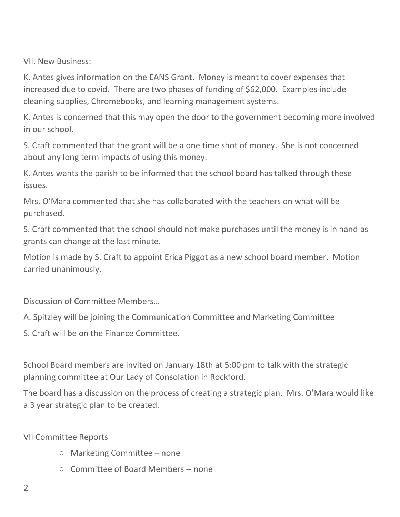VII. New Business:

K. Antes gives information on the EANS Grant. Money is meant to cover expenses that increased due to covid. There are two phases of funding of \$62,000. Examples include cleaning supplies, Chromebooks, and learning management systems.

K. Antes is concerned that this may open the door to the government becoming more involved in our school.

S. Craft commented that the grant will be a one time shot of money. She is not concerned about any long term impacts of using this money.

K. Antes wants the parish to be informed that the school board has talked through these issues.

Mrs. O'Mara commented that she has collaborated with the teachers on what will be purchased.

S. Craft commented that the school should not make purchases until the money is in hand as grants can change at the last minute.

Motion is made by S. Craft to appoint Erica Piggot as a new school board member. Motion carried unanimously.

Discussion of Committee Members…

A. Spitzley will be joining the Communication Committee and Marketing Committee

S. Craft will be on the Finance Committee.

School Board members are invited on January 18th at 5:00 pm to talk with the strategic planning committee at Our Lady of Consolation in Rockford.

The board has a discussion on the process of creating a strategic plan. Mrs. O'Mara would like a 3 year strategic plan to be created.

VII Committee Reports

- Marketing Committee none
- Committee of Board Members -- none